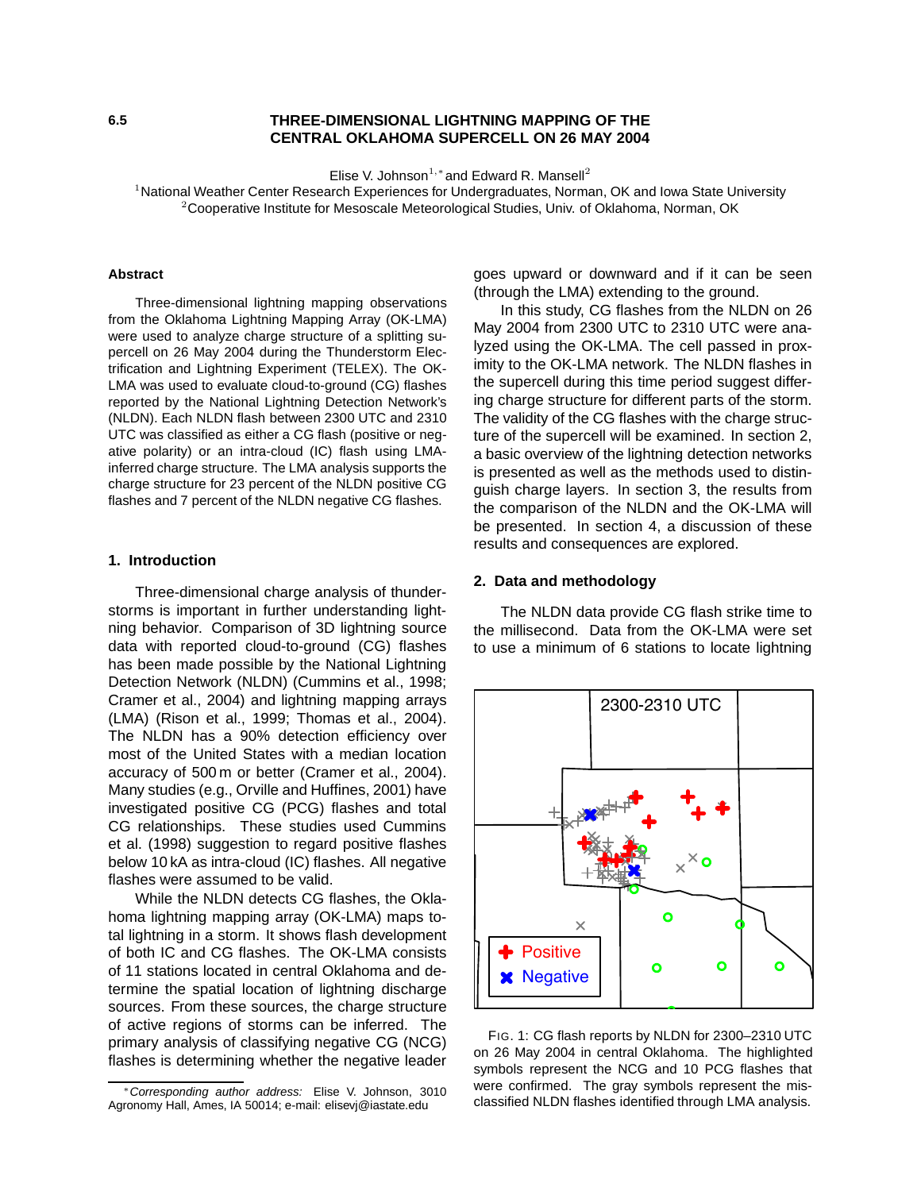## **6.5 THREE-DIMENSIONAL LIGHTNING MAPPING OF THE CENTRAL OKLAHOMA SUPERCELL ON 26 MAY 2004**

Elise V. Johnson<sup>1,\*</sup> and Edward R. Mansell<sup>2</sup>

<sup>1</sup> National Weather Center Research Experiences for Undergraduates, Norman, OK and Iowa State University  $2$ Cooperative Institute for Mesoscale Meteorological Studies, Univ. of Oklahoma, Norman, OK

#### **Abstract**

Three-dimensional lightning mapping observations from the Oklahoma Lightning Mapping Array (OK-LMA) were used to analyze charge structure of a splitting supercell on 26 May 2004 during the Thunderstorm Electrification and Lightning Experiment (TELEX). The OK-LMA was used to evaluate cloud-to-ground (CG) flashes reported by the National Lightning Detection Network's (NLDN). Each NLDN flash between 2300 UTC and 2310 UTC was classified as either a CG flash (positive or negative polarity) or an intra-cloud (IC) flash using LMAinferred charge structure. The LMA analysis supports the charge structure for 23 percent of the NLDN positive CG flashes and 7 percent of the NLDN negative CG flashes.

### **1. Introduction**

Three-dimensional charge analysis of thunderstorms is important in further understanding lightning behavior. Comparison of 3D lightning source data with reported cloud-to-ground (CG) flashes has been made possible by the National Lightning Detection Network (NLDN) (Cummins et al., 1998; Cramer et al., 2004) and lightning mapping arrays (LMA) (Rison et al., 1999; Thomas et al., 2004). The NLDN has a 90% detection efficiency over most of the United States with a median location accuracy of 500 m or better (Cramer et al., 2004). Many studies (e.g., Orville and Huffines, 2001) have investigated positive CG (PCG) flashes and total CG relationships. These studies used Cummins et al. (1998) suggestion to regard positive flashes below 10 kA as intra-cloud (IC) flashes. All negative flashes were assumed to be valid.

While the NLDN detects CG flashes, the Oklahoma lightning mapping array (OK-LMA) maps total lightning in a storm. It shows flash development of both IC and CG flashes. The OK-LMA consists of 11 stations located in central Oklahoma and determine the spatial location of lightning discharge sources. From these sources, the charge structure of active regions of storms can be inferred. The primary analysis of classifying negative CG (NCG) flashes is determining whether the negative leader goes upward or downward and if it can be seen (through the LMA) extending to the ground.

In this study, CG flashes from the NLDN on 26 May 2004 from 2300 UTC to 2310 UTC were analyzed using the OK-LMA. The cell passed in proximity to the OK-LMA network. The NLDN flashes in the supercell during this time period suggest differing charge structure for different parts of the storm. The validity of the CG flashes with the charge structure of the supercell will be examined. In section 2, a basic overview of the lightning detection networks is presented as well as the methods used to distinguish charge layers. In section 3, the results from the comparison of the NLDN and the OK-LMA will be presented. In section 4, a discussion of these results and consequences are explored.

### **2. Data and methodology**

The NLDN data provide CG flash strike time to the millisecond. Data from the OK-LMA were set to use a minimum of 6 stations to locate lightning



FIG. 1: CG flash reports by NLDN for 2300–2310 UTC on 26 May 2004 in central Oklahoma. The highlighted symbols represent the NCG and 10 PCG flashes that were confirmed. The gray symbols represent the misclassified NLDN flashes identified through LMA analysis.

<sup>∗</sup>Corresponding author address: Elise V. Johnson, 3010 Agronomy Hall, Ames, IA 50014; e-mail: elisevj@iastate.edu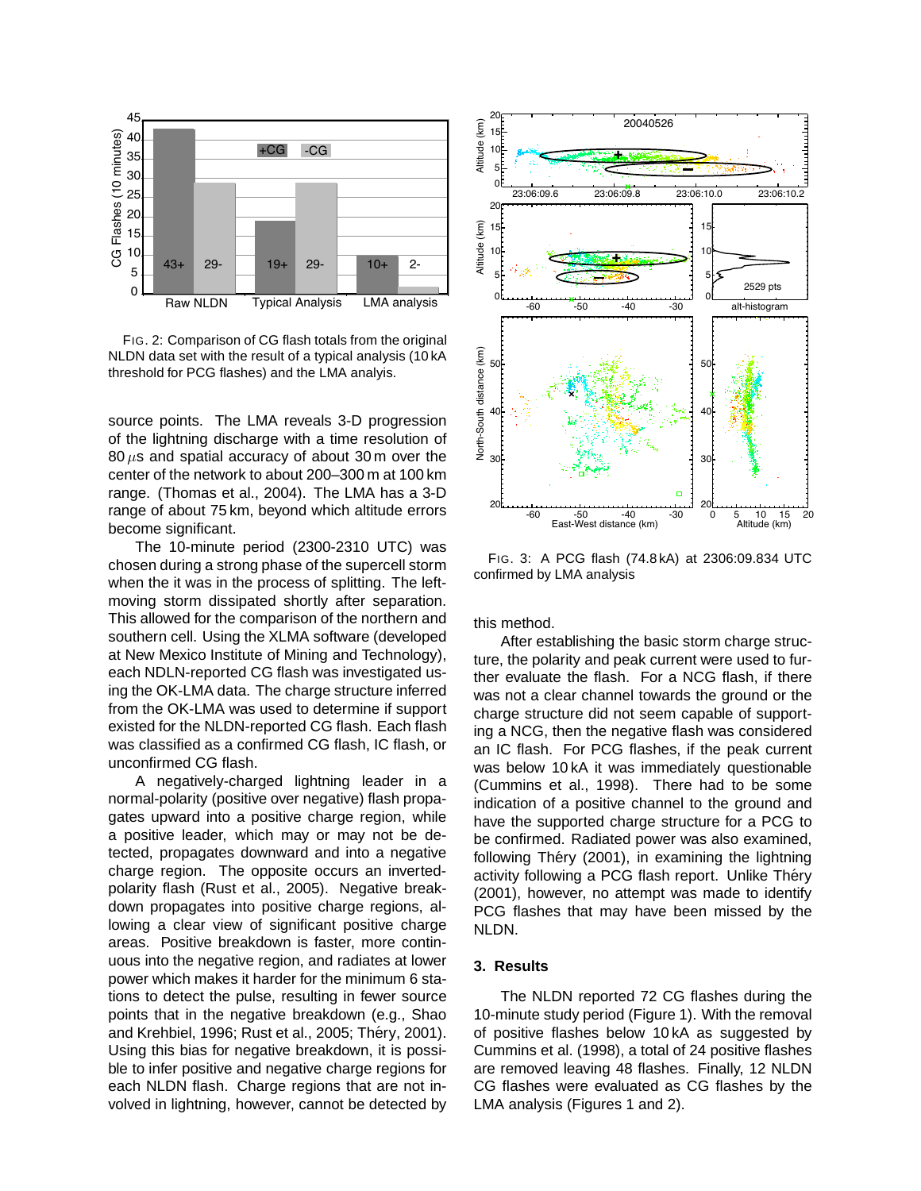

FIG. 2: Comparison of CG flash totals from the original NLDN data set with the result of a typical analysis (10 kA threshold for PCG flashes) and the LMA analyis.

source points. The LMA reveals 3-D progression of the lightning discharge with a time resolution of  $80 \,\mu s$  and spatial accuracy of about 30 m over the center of the network to about 200–300 m at 100 km range. (Thomas et al., 2004). The LMA has a 3-D range of about 75 km, beyond which altitude errors become significant.

The 10-minute period (2300-2310 UTC) was chosen during a strong phase of the supercell storm when the it was in the process of splitting. The leftmoving storm dissipated shortly after separation. This allowed for the comparison of the northern and southern cell. Using the XLMA software (developed at New Mexico Institute of Mining and Technology), each NDLN-reported CG flash was investigated using the OK-LMA data. The charge structure inferred from the OK-LMA was used to determine if support existed for the NLDN-reported CG flash. Each flash was classified as a confirmed CG flash, IC flash, or unconfirmed CG flash.

A negatively-charged lightning leader in a normal-polarity (positive over negative) flash propagates upward into a positive charge region, while a positive leader, which may or may not be detected, propagates downward and into a negative charge region. The opposite occurs an invertedpolarity flash (Rust et al., 2005). Negative breakdown propagates into positive charge regions, allowing a clear view of significant positive charge areas. Positive breakdown is faster, more continuous into the negative region, and radiates at lower power which makes it harder for the minimum 6 stations to detect the pulse, resulting in fewer source points that in the negative breakdown (e.g., Shao and Krehbiel, 1996; Rust et al., 2005; Théry, 2001). Using this bias for negative breakdown, it is possible to infer positive and negative charge regions for each NLDN flash. Charge regions that are not involved in lightning, however, cannot be detected by



FIG. 3: A PCG flash (74.8 kA) at 2306:09.834 UTC confirmed by LMA analysis

this method.

After establishing the basic storm charge structure, the polarity and peak current were used to further evaluate the flash. For a NCG flash, if there was not a clear channel towards the ground or the charge structure did not seem capable of supporting a NCG, then the negative flash was considered an IC flash. For PCG flashes, if the peak current was below 10 kA it was immediately questionable (Cummins et al., 1998). There had to be some indication of a positive channel to the ground and have the supported charge structure for a PCG to be confirmed. Radiated power was also examined, following Théry (2001), in examining the lightning activity following a PCG flash report. Unlike Théry (2001), however, no attempt was made to identify PCG flashes that may have been missed by the NLDN.

## **3. Results**

The NLDN reported 72 CG flashes during the 10-minute study period (Figure 1). With the removal of positive flashes below 10 kA as suggested by Cummins et al. (1998), a total of 24 positive flashes are removed leaving 48 flashes. Finally, 12 NLDN CG flashes were evaluated as CG flashes by the LMA analysis (Figures 1 and 2).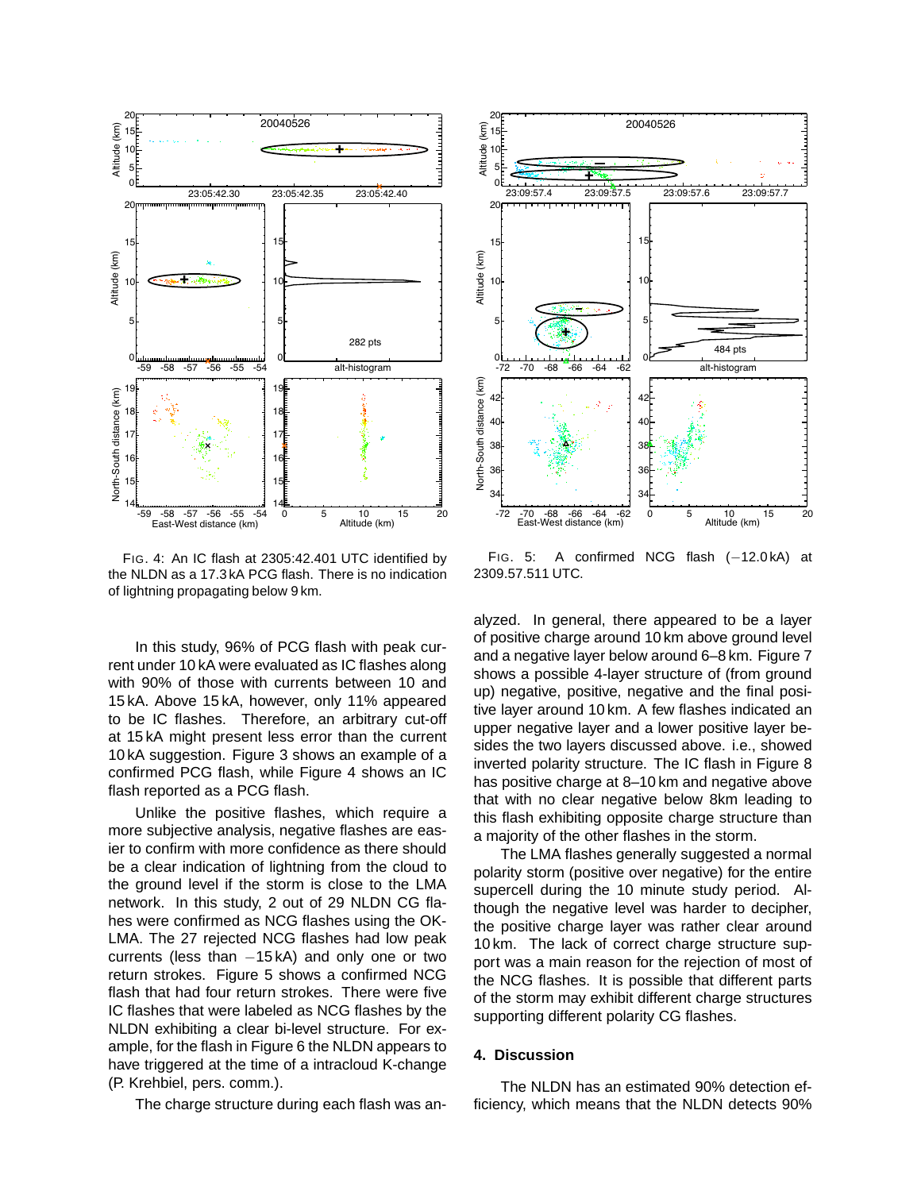

FIG. 4: An IC flash at 2305:42.401 UTC identified by the NLDN as a 17.3 kA PCG flash. There is no indication of lightning propagating below 9 km.

In this study, 96% of PCG flash with peak current under 10 kA were evaluated as IC flashes along with 90% of those with currents between 10 and 15 kA. Above 15 kA, however, only 11% appeared to be IC flashes. Therefore, an arbitrary cut-off at 15 kA might present less error than the current 10 kA suggestion. Figure 3 shows an example of a confirmed PCG flash, while Figure 4 shows an IC flash reported as a PCG flash.

Unlike the positive flashes, which require a more subjective analysis, negative flashes are easier to confirm with more confidence as there should be a clear indication of lightning from the cloud to the ground level if the storm is close to the LMA network. In this study, 2 out of 29 NLDN CG flahes were confirmed as NCG flashes using the OK-LMA. The 27 rejected NCG flashes had low peak currents (less than −15 kA) and only one or two return strokes. Figure 5 shows a confirmed NCG flash that had four return strokes. There were five IC flashes that were labeled as NCG flashes by the NLDN exhibiting a clear bi-level structure. For example, for the flash in Figure 6 the NLDN appears to have triggered at the time of a intracloud K-change (P. Krehbiel, pers. comm.).

The charge structure during each flash was an-



FIG. 5: A confirmed NCG flash (-12.0 kA) at 2309.57.511 UTC.

alyzed. In general, there appeared to be a layer of positive charge around 10 km above ground level and a negative layer below around 6–8 km. Figure 7 shows a possible 4-layer structure of (from ground up) negative, positive, negative and the final positive layer around 10 km. A few flashes indicated an upper negative layer and a lower positive layer besides the two layers discussed above. i.e., showed inverted polarity structure. The IC flash in Figure 8 has positive charge at 8–10 km and negative above that with no clear negative below 8km leading to this flash exhibiting opposite charge structure than a majority of the other flashes in the storm.

The LMA flashes generally suggested a normal polarity storm (positive over negative) for the entire supercell during the 10 minute study period. Although the negative level was harder to decipher, the positive charge layer was rather clear around 10 km. The lack of correct charge structure support was a main reason for the rejection of most of the NCG flashes. It is possible that different parts of the storm may exhibit different charge structures supporting different polarity CG flashes.

## **4. Discussion**

The NLDN has an estimated 90% detection efficiency, which means that the NLDN detects 90%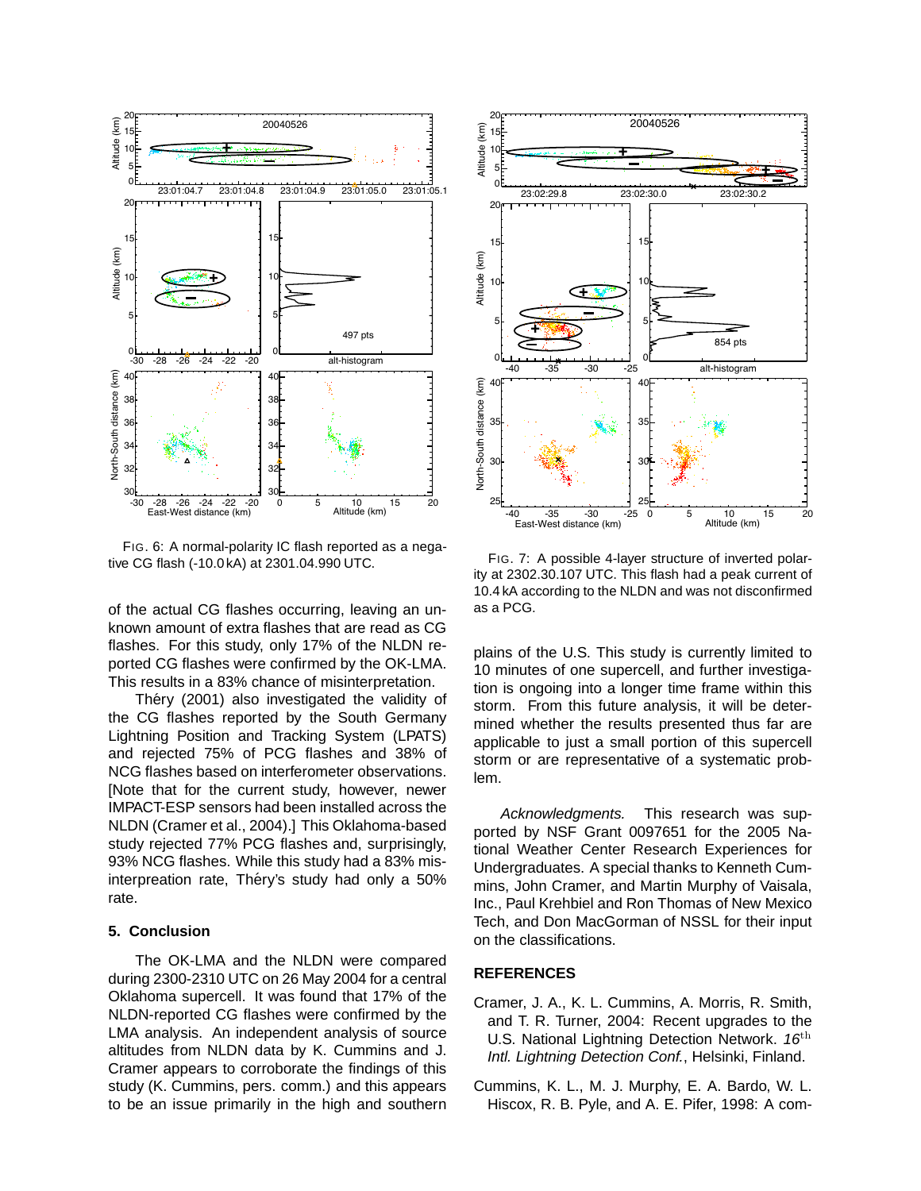

FIG. 6: A normal-polarity IC flash reported as a negative CG flash (-10.0 kA) at 2301.04.990 UTC.

of the actual CG flashes occurring, leaving an unknown amount of extra flashes that are read as CG flashes. For this study, only 17% of the NLDN reported CG flashes were confirmed by the OK-LMA. This results in a 83% chance of misinterpretation.

Théry (2001) also investigated the validity of the CG flashes reported by the South Germany Lightning Position and Tracking System (LPATS) and rejected 75% of PCG flashes and 38% of NCG flashes based on interferometer observations. [Note that for the current study, however, newer IMPACT-ESP sensors had been installed across the NLDN (Cramer et al., 2004).] This Oklahoma-based study rejected 77% PCG flashes and, surprisingly, 93% NCG flashes. While this study had a 83% misinterpreation rate, Théry's study had only a 50% rate.

# **5. Conclusion**

The OK-LMA and the NLDN were compared during 2300-2310 UTC on 26 May 2004 for a central Oklahoma supercell. It was found that 17% of the NLDN-reported CG flashes were confirmed by the LMA analysis. An independent analysis of source altitudes from NLDN data by K. Cummins and J. Cramer appears to corroborate the findings of this study (K. Cummins, pers. comm.) and this appears to be an issue primarily in the high and southern



FIG. 7: A possible 4-layer structure of inverted polarity at 2302.30.107 UTC. This flash had a peak current of 10.4 kA according to the NLDN and was not disconfirmed as a PCG.

plains of the U.S. This study is currently limited to 10 minutes of one supercell, and further investigation is ongoing into a longer time frame within this storm. From this future analysis, it will be determined whether the results presented thus far are applicable to just a small portion of this supercell storm or are representative of a systematic problem.

Acknowledgments. This research was supported by NSF Grant 0097651 for the 2005 National Weather Center Research Experiences for Undergraduates. A special thanks to Kenneth Cummins, John Cramer, and Martin Murphy of Vaisala, Inc., Paul Krehbiel and Ron Thomas of New Mexico Tech, and Don MacGorman of NSSL for their input on the classifications.

# **REFERENCES**

- Cramer, J. A., K. L. Cummins, A. Morris, R. Smith, and T. R. Turner, 2004: Recent upgrades to the U.S. National Lightning Detection Network.  $16<sup>th</sup>$ Intl. Lightning Detection Conf., Helsinki, Finland.
- Cummins, K. L., M. J. Murphy, E. A. Bardo, W. L. Hiscox, R. B. Pyle, and A. E. Pifer, 1998: A com-